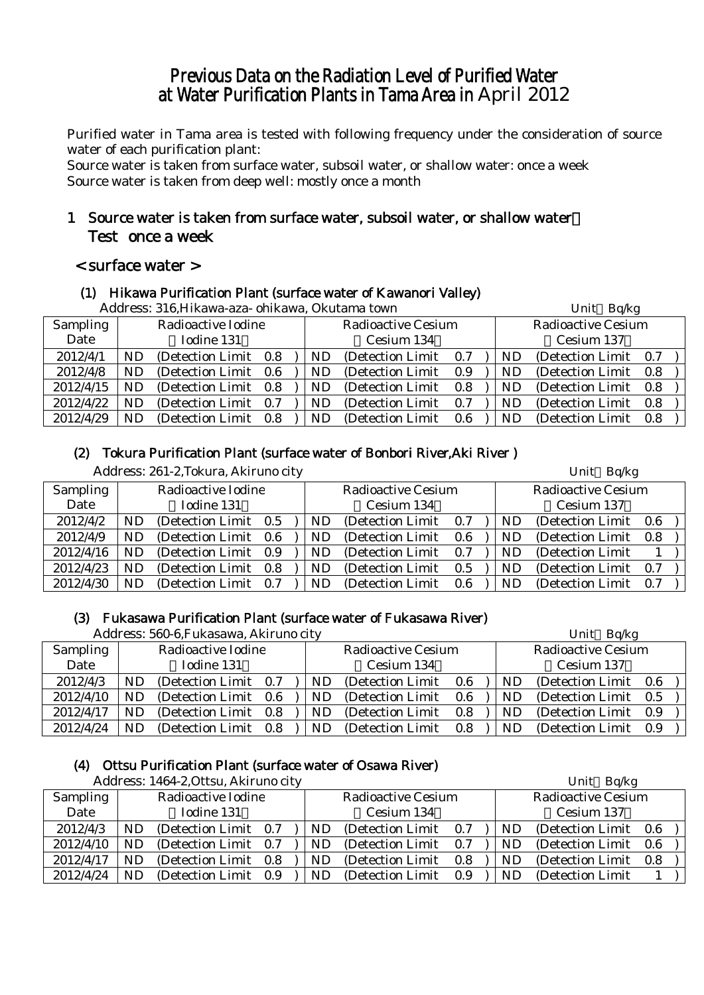# Previous Data on the Radiation Level of Purified Water at Water Purification Plants in Tama Area in April 2012

Purified water in Tama area is tested with following frequency under the consideration of source water of each purification plant:

Source water is taken from surface water, subsoil water, or shallow water: once a week Source water is taken from deep well: mostly once a month

# 1 Source water is taken from surface water, subsoil water, or shallow water: Test once a week

#### < surface water >

# (1) Hikawa Purification Plant (surface water of Kawanori Valley)

|           | Address: 316, Hikawa-aza- ohikawa, Okutama town |                       |     |     |                           |     |  |           | Unit Bq/kg                |     |  |  |
|-----------|-------------------------------------------------|-----------------------|-----|-----|---------------------------|-----|--|-----------|---------------------------|-----|--|--|
| Sampling  |                                                 | Radioactive Iodine    |     |     | <b>Radioactive Cesium</b> |     |  |           | <b>Radioactive Cesium</b> |     |  |  |
| Date      |                                                 | Iodine 131            |     |     | Cesium 134                |     |  |           | Cesium 137                |     |  |  |
| 2012/4/1  | <b>ND</b>                                       | (Detection Limit 0.8) |     | ND  | (Detection Limit 0.7)     |     |  | ND        | (Detection Limit 0.7)     |     |  |  |
| 2012/4/8  | <b>ND</b>                                       | (Detection Limit 0.6) |     | ND. | (Detection Limit)         | 0.9 |  | ND        | (Detection Limit)         | 0.8 |  |  |
| 2012/4/15 | <b>ND</b>                                       | (Detection Limit 0.8) |     | ND  | (Detection Limit)         | 0.8 |  | <b>ND</b> | (Detection Limit)         | 0.8 |  |  |
| 2012/4/22 | <b>ND</b>                                       | (Detection Limit 0.7) |     | ND  | (Detection Limit)         | 0.7 |  | <b>ND</b> | (Detection Limit)         | 0.8 |  |  |
| 2012/4/29 | <b>ND</b>                                       | (Detection Limit)     | 0.8 | ND. | (Detection Limit)         | 0.6 |  | ND        | (Detection Limit)         | 0.8 |  |  |

#### (2) Tokura Purification Plant (surface water of Bonbori River,Aki River )

Address: 261-2,Tokura, Akiruno city Unit Bq/kg

|                 |     | $1.1001$ cool $\approx 1$ $\approx 1.0101$ $\approx 1.010$ $\approx 0.01$ |  |           |                           |      |                           | $2 \cdot 11 \cdot 10$ |                       |  |  |  |
|-----------------|-----|---------------------------------------------------------------------------|--|-----------|---------------------------|------|---------------------------|-----------------------|-----------------------|--|--|--|
| <b>Sampling</b> |     | Radioactive Iodine                                                        |  |           | <b>Radioactive Cesium</b> |      | <b>Radioactive Cesium</b> |                       |                       |  |  |  |
| Date            |     | Iodine 131                                                                |  |           | Cesium 134                |      |                           |                       | Cesium 137            |  |  |  |
| 2012/4/2        | ND  | (Detection Limit 0.5)                                                     |  | ND        | (Detection Limit)         | 0.7  |                           | ND                    | (Detection Limit 0.6  |  |  |  |
| 2012/4/9        | ND. | (Detection Limit 0.6)                                                     |  | ND.       | (Detection Limit)         | 0.6  |                           | ND.                   | (Detection Limit 0.8) |  |  |  |
| 2012/4/16       | ND  | (Detection Limit 0.9)                                                     |  | ND.       | (Detection Limit)         | 0.7  |                           | ND                    | (Detection Limit)     |  |  |  |
| 2012/4/23       | ND  | (Detection Limit 0.8)                                                     |  | <b>ND</b> | (Detection Limit)         | 0.5  |                           | <b>ND</b>             | (Detection Limit 0.7) |  |  |  |
| 2012/4/30       | ND  | (Detection Limit 0.7)                                                     |  | <b>ND</b> | (Detection Limit)         | -0.6 |                           | <b>ND</b>             | (Detection Limit 0.7) |  |  |  |

#### (3) Fukasawa Purification Plant (surface water of Fukasawa River)

| Address: 560-6, Fukasawa, Akiruno city |    |                    |     |  |    |                           |     |  |                           | Unit Bq/kg            |     |  |  |
|----------------------------------------|----|--------------------|-----|--|----|---------------------------|-----|--|---------------------------|-----------------------|-----|--|--|
| <b>Sampling</b>                        |    | Radioactive Iodine |     |  |    | <b>Radioactive Cesium</b> |     |  | <b>Radioactive Cesium</b> |                       |     |  |  |
| Date                                   |    | Iodine 131         |     |  |    | Cesium 134                |     |  | Cesium 137                |                       |     |  |  |
| 2012/4/3                               | ND | (Detection Limit)  | 0.7 |  | ND | (Detection Limit)         | 0.6 |  | ND                        | (Detection Limit 0.6) |     |  |  |
| 2012/4/10                              | ND | (Detection Limit)  | 0.6 |  | ND | (Detection Limit)         | 0.6 |  | ND                        | (Detection Limit 0.5) |     |  |  |
| 2012/4/17                              | ND | (Detection Limit)  | 0.8 |  | ND | (Detection Limit)         | 0.8 |  | ND                        | (Detection Limit 0.9) |     |  |  |
| 2012/4/24                              | ND | (Detection Limit)  | 0.8 |  | ND | (Detection Limit)         | 0.8 |  | ND                        | (Detection Limit)     | 0.9 |  |  |

#### (4) Ottsu Purification Plant (surface water of Osawa River)

| Address: 1464-2, Ottsu, Akiruno city |    |                       |  |  |    |                           |     |  |                           | Unit Bq/kg        |     |  |  |  |
|--------------------------------------|----|-----------------------|--|--|----|---------------------------|-----|--|---------------------------|-------------------|-----|--|--|--|
| Sampling                             |    | Radioactive Iodine    |  |  |    | <b>Radioactive Cesium</b> |     |  | <b>Radioactive Cesium</b> |                   |     |  |  |  |
| Date                                 |    | Iodine 131            |  |  |    | Cesium 134                |     |  |                           | Cesium 137        |     |  |  |  |
| 2012/4/3                             | ND | (Detection Limit 0.7) |  |  | ND | (Detection Limit)         | 0.7 |  | ND                        | (Detection Limit) | 0.6 |  |  |  |
| 2012/4/10                            | ND | (Detection Limit 0.7) |  |  | ND | (Detection Limit)         | 0.7 |  | ND                        | (Detection Limit) | 0.6 |  |  |  |
| 2012/4/17                            | ND | (Detection Limit 0.8) |  |  | ND | (Detection Limit)         | 0.8 |  | ND                        | (Detection Limit) | 0.8 |  |  |  |
| 2012/4/24                            | ND | (Detection Limit 0.9) |  |  | ND | (Detection Limit)         | 0.9 |  | ND                        | (Detection Limit) |     |  |  |  |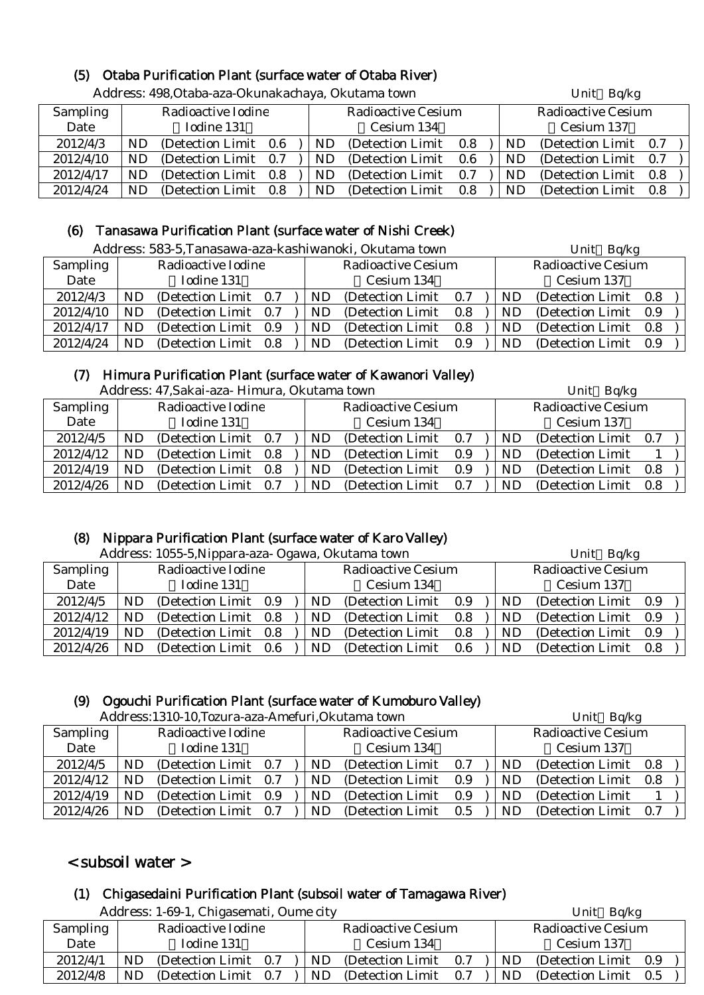# (5) Otaba Purification Plant (surface water of Otaba River)

| Address: 498, Otaba-aza-Okunakachaya, Okutama town |     |                       |  |  |     |                           |     |            |           | Unit Bq/kg                |     |  |
|----------------------------------------------------|-----|-----------------------|--|--|-----|---------------------------|-----|------------|-----------|---------------------------|-----|--|
| <b>Sampling</b>                                    |     | Radioactive Iodine    |  |  |     | <b>Radioactive Cesium</b> |     |            |           | <b>Radioactive Cesium</b> |     |  |
| Date                                               |     | Iodine 131            |  |  |     | Cesium 134                |     | Cesium 137 |           |                           |     |  |
| 2012/4/3                                           | ND. | (Detection Limit 0.6) |  |  | ND. | (Detection Limit)         | 0.8 |            | ND        | (Detection Limit 0.7)     |     |  |
| 2012/4/10                                          | ND. | (Detection Limit 0.7) |  |  | ND. | (Detection Limit)         | 0.6 |            | <b>ND</b> | (Detection Limit 0.7)     |     |  |
| 2012/4/17                                          | ND. | (Detection Limit 0.8) |  |  | ND. | (Detection Limit)         | 0.7 |            | ND        | (Detection Limit 0.8)     |     |  |
| 2012/4/24                                          | ND. | (Detection Limit 0.8) |  |  | ND. | (Detection Limit)         | 0.8 |            | ND.       | (Detection Limit)         | 0.8 |  |

# (6) Tanasawa Purification Plant (surface water of Nishi Creek)

| Address: 583-5, Tanasawa-aza-kashiwanoki, Okutama town |           |                       |  |     |                           |            |  | Unit Bq/kg |                           |     |  |  |
|--------------------------------------------------------|-----------|-----------------------|--|-----|---------------------------|------------|--|------------|---------------------------|-----|--|--|
| Sampling                                               |           | Radioactive Iodine    |  |     | <b>Radioactive Cesium</b> |            |  |            | <b>Radioactive Cesium</b> |     |  |  |
| Date                                                   |           | Iodine 131            |  |     | Cesium 134                | Cesium 137 |  |            |                           |     |  |  |
| 2012/4/3                                               | ND        | (Detection Limit 0.7) |  | ND  | (Detection Limit)         | 0.7        |  | ND         | (Detection Limit)         | 0.8 |  |  |
| 2012/4/10                                              | ND        | (Detection Limit 0.7) |  | ND. | (Detection Limit)         | 0.8        |  | ND         | (Detection Limit)         | 0.9 |  |  |
| 2012/4/17                                              | ND.       | (Detection Limit 0.9) |  | ND  | (Detection Limit)         | 0.8        |  | ND         | (Detection Limit)         | 0.8 |  |  |
| 2012/4/24                                              | <b>ND</b> | (Detection Limit 0.8) |  | ND. | (Detection Limit)         | 0.9        |  | ND.        | (Detection Limit)         | 0.9 |  |  |

# (7) Himura Purification Plant (surface water of Kawanori Valley)

| Address: 47, Sakai-aza- Himura, Okutama town | Unit Bq/kg |  |
|----------------------------------------------|------------|--|

|                 |    | 7 iddi cəə. Tr.Danai aza Timinin al-Ondiama təmir |     |  |    |                           | $C$ <sub>III</sub> $C$ $Dq$ <sub>i</sub> $Rg$ |                           |                   |     |  |  |
|-----------------|----|---------------------------------------------------|-----|--|----|---------------------------|-----------------------------------------------|---------------------------|-------------------|-----|--|--|
| <b>Sampling</b> |    | Radioactive Iodine                                |     |  |    | <b>Radioactive Cesium</b> |                                               | <b>Radioactive Cesium</b> |                   |     |  |  |
| Date            |    | Iodine 131                                        |     |  |    | Cesium 134                |                                               | Cesium 137                |                   |     |  |  |
| 2012/4/5        | ND | (Detection Limit 0.7)                             |     |  | ND | (Detection Limit)         | 0.7                                           | ND                        | (Detection Limit) | 0.7 |  |  |
| 2012/4/12       | ND | (Detection Limit 0.8)                             |     |  | ND | (Detection Limit)         | 0.9                                           | ND                        | (Detection Limit) |     |  |  |
| 2012/4/19       | ND | (Detection Limit 0.8                              |     |  | ND | (Detection Limit)         | 0.9                                           | ND                        | (Detection Limit) | 0.8 |  |  |
| 2012/4/26       | ND | (Detection Limit                                  | 0.7 |  | ND | (Detection Limit          | 0.7                                           | ND                        | (Detection Limit) | 0.8 |  |  |

# (8) Nippara Purification Plant (surface water of Karo Valley)

| Address: 1055-5 Ninnara-aza- Ogawa, Okutama town |  |
|--------------------------------------------------|--|

|           | Address: 1055-5, Nippara-aza- Ogawa, Okutama town |                       |  |  |     |                           |  |  | Unit Bq/kg |                           |  |  |  |  |
|-----------|---------------------------------------------------|-----------------------|--|--|-----|---------------------------|--|--|------------|---------------------------|--|--|--|--|
| Sampling  |                                                   | Radioactive Iodine    |  |  |     | <b>Radioactive Cesium</b> |  |  |            | <b>Radioactive Cesium</b> |  |  |  |  |
| Date      |                                                   | Iodine 131            |  |  |     | Cesium 134                |  |  |            | Cesium 137                |  |  |  |  |
| 2012/4/5  | ND                                                | (Detection Limit 0.9) |  |  | ND. | (Detection Limit 0.9)     |  |  | ND.        | (Detection Limit 0.9)     |  |  |  |  |
| 2012/4/12 | ND                                                | (Detection Limit 0.8) |  |  | ND. | (Detection Limit 0.8)     |  |  | ND.        | (Detection Limit 0.9)     |  |  |  |  |
| 2012/4/19 | ND                                                | (Detection Limit 0.8) |  |  | ND. | (Detection Limit 0.8)     |  |  | ND.        | (Detection Limit 0.9)     |  |  |  |  |
| 2012/4/26 | ND                                                | (Detection Limit 0.6) |  |  | ND. | (Detection Limit 0.6)     |  |  | ND.        | (Detection Limit 0.8)     |  |  |  |  |

#### (9) Ogouchi Purification Plant (surface water of Kumoburo Valley)

|  | Address: 1310-10 Tozura-aza-Amefuri Okutama town |  |
|--|--------------------------------------------------|--|

|           | Address:1310-10, Tozura-aza-Amefuri, Okutama town |                       |  |            |                           |         |  |            | Unit Bq/kg                |     |  |  |
|-----------|---------------------------------------------------|-----------------------|--|------------|---------------------------|---------|--|------------|---------------------------|-----|--|--|
| Sampling  |                                                   | Radioactive Iodine    |  |            | <b>Radioactive Cesium</b> |         |  |            | <b>Radioactive Cesium</b> |     |  |  |
| Date      |                                                   | Iodine 131            |  | Cesium 134 |                           |         |  | Cesium 137 |                           |     |  |  |
| 2012/4/5  | ND.                                               | (Detection Limit 0.7) |  | ND.        | (Detection Limit)         | 0.7     |  | ND.        | (Detection Limit 0.8)     |     |  |  |
| 2012/4/12 | ND                                                | (Detection Limit 0.7) |  | ND.        | (Detection Limit)         | 0.9     |  | ND.        | (Detection Limit 0.8)     |     |  |  |
| 2012/4/19 | ND                                                | (Detection Limit 0.9) |  | ND.        | (Detection Limit)         | 0.9     |  | ND.        | (Detection Limit)         |     |  |  |
| 2012/4/26 | ND.                                               | (Detection Limit 0.7) |  | ND.        | (Detection Limit)         | $0.5\,$ |  | ND         | (Detection Limit)         | 0.7 |  |  |

# < subsoil water >

# (1) Chigasedaini Purification Plant (subsoil water of Tamagawa River)

|          |     | Address: 1-69-1, Chigasemati, Oume city |     |                           |     |     | Unit Bq/kg                |  |
|----------|-----|-----------------------------------------|-----|---------------------------|-----|-----|---------------------------|--|
| Sampling |     | Radioactive Iodine                      |     | <b>Radioactive Cesium</b> |     |     | <b>Radioactive Cesium</b> |  |
| Date     |     | Iodine 131                              |     | Cesium 134                |     |     | Cesium 137                |  |
| 2012/4/1 | ND. | (Detection Limit 0.7)                   | ND. | (Detection Limit)         | 0.7 | ND. | (Detection Limit 0.9)     |  |
| 2012/4/8 | ND. | (Detection Limit 0.7)                   | ND  | (Detection Limit          | 0.7 | ND. | (Detection Limit 0.5)     |  |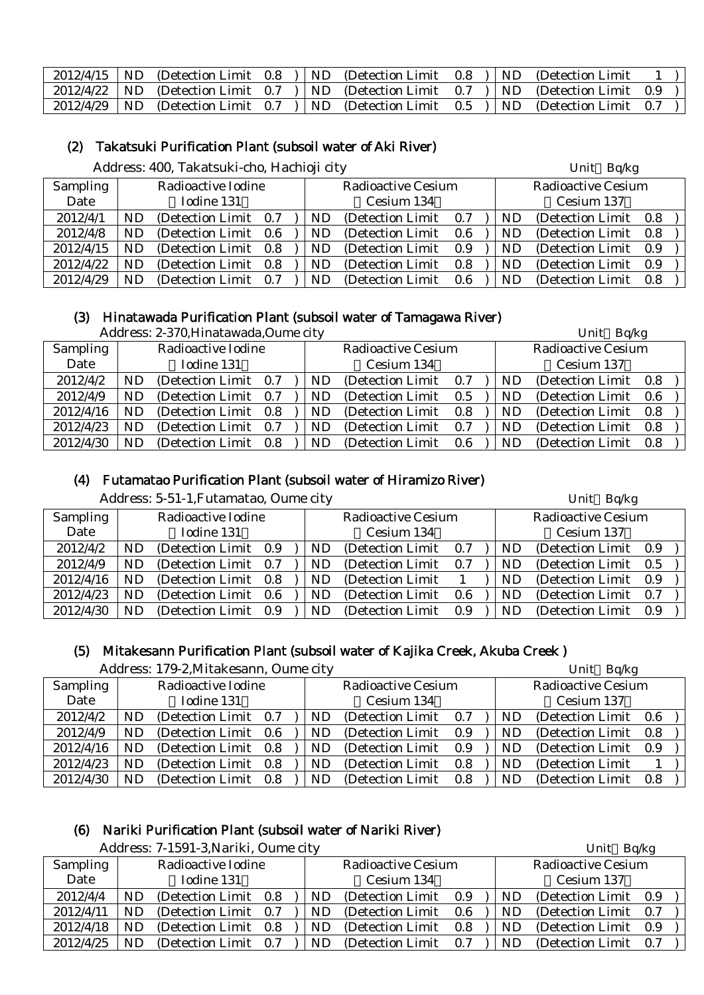| $2012/4/15$ ND |  |  | (Detection Limit $(0.8)$ ) ND (Detection Limit $(0.8)$ ) ND (Detection Limit            |  |  |  |
|----------------|--|--|-----------------------------------------------------------------------------------------|--|--|--|
|                |  |  | $2012/4/22$ ND (Detection Limit 0.7 ) ND (Detection Limit 0.7 ) ND (Detection Limit 0.9 |  |  |  |
|                |  |  | $2012/4/29$ ND (Detection Limit 0.7 ) ND (Detection Limit 0.5 ) ND (Detection Limit 0.7 |  |  |  |

#### (2) Takatsuki Purification Plant (subsoil water of Aki River)

Address: 400. Takatsuki-cho. Hachioji city Unit Bq/kg

|           |           | $11001$ $0001$ $1001$ $10100$ $0101$ $1001$ |     |                           |      |    | U                         |     |  |
|-----------|-----------|---------------------------------------------|-----|---------------------------|------|----|---------------------------|-----|--|
| Sampling  |           | Radioactive Iodine                          |     | <b>Radioactive Cesium</b> |      |    | <b>Radioactive Cesium</b> |     |  |
| Date      |           | Iodine 131                                  |     | Cesium 134                |      |    | Cesium 137                |     |  |
| 2012/4/1  | ND        | (Detection Limit 0.7)                       | ND. | (Detection Limit)         | 0.7  | ND | (Detection Limit 0.8)     |     |  |
| 2012/4/8  | ND.       | (Detection Limit 0.6)                       | ND. | (Detection Limit)         | -0.6 | ND | (Detection Limit 0.8)     |     |  |
| 2012/4/15 | ND.       | (Detection Limit 0.8)                       | ND. | (Detection Limit)         | 0.9  | ND | (Detection Limit 0.9)     |     |  |
| 2012/4/22 | <b>ND</b> | (Detection Limit 0.8)                       | ND. | (Detection Limit)         | 0.8  | ND | (Detection Limit 0.9)     |     |  |
| 2012/4/29 | <b>ND</b> | (Detection Limit 0.7)                       | ND. | (Detection Limit)         | 0.6  | ND | (Detection Limit)         | 0.8 |  |

#### (3) Hinatawada Purification Plant (subsoil water of Tamagawa River)

|                 |                                | Address: 2-370, Hinatawada, Oume city |  |  |           |                           |     |           | Unit Bq/kg                |     |  |
|-----------------|--------------------------------|---------------------------------------|--|--|-----------|---------------------------|-----|-----------|---------------------------|-----|--|
| <b>Sampling</b> |                                | Radioactive Iodine                    |  |  |           | <b>Radioactive Cesium</b> |     |           | <b>Radioactive Cesium</b> |     |  |
| Date            |                                | Iodine 131                            |  |  |           | Cesium 134                |     |           | Cesium 137                |     |  |
| 2012/4/2        | ND                             | (Detection Limit 0.7)                 |  |  | <b>ND</b> | (Detection Limit)         | 0.7 | <b>ND</b> | (Detection Limit 0.8)     |     |  |
| 2012/4/9        | ND                             | (Detection Limit 0.7)                 |  |  | <b>ND</b> | (Detection Limit)         | 0.5 | <b>ND</b> | (Detection Limit)         | 0.6 |  |
| 2012/4/16       | ND                             | (Detection Limit 0.8)                 |  |  | ND        | (Detection Limit)         | 0.8 | <b>ND</b> | (Detection Limit 0.8)     |     |  |
| 2012/4/23       | ND                             | (Detection Limit 0.7)                 |  |  | <b>ND</b> | (Detection Limit)         | 0.7 | ND        | (Detection Limit)         | 0.8 |  |
| 2012/4/30       | (Detection Limit)<br>ND<br>0.8 |                                       |  |  | ND        | (Detection Limit)         | 0.6 | ND        | (Detection Limit)         | 0.8 |  |

#### (4) Futamatao Purification Plant (subsoil water of Hiramizo River)

Address: 5-51-1, Futamatao, Oume city Unit Bq/kg

|           |    |                       |           |                           |     |    | . .                       |     |  |
|-----------|----|-----------------------|-----------|---------------------------|-----|----|---------------------------|-----|--|
| Sampling  |    | Radioactive Iodine    |           | <b>Radioactive Cesium</b> |     |    | <b>Radioactive Cesium</b> |     |  |
| Date      |    | Iodine 131            |           | Cesium 134                |     |    | Cesium 137                |     |  |
| 2012/4/2  | ND | (Detection Limit 0.9) | ND.       | (Detection Limit)         | 0.7 | ND | (Detection Limit)         | 0.9 |  |
| 2012/4/9  | ND | (Detection Limit 0.7) | <b>ND</b> | (Detection Limit)         | 0.7 | ND | (Detection Limit)         | 0.5 |  |
| 2012/4/16 | ND | (Detection Limit 0.8) | <b>ND</b> | (Detection Limit)         |     | ND | (Detection Limit)         | 0.9 |  |
| 2012/4/23 | ND | (Detection Limit 0.6) | <b>ND</b> | (Detection Limit)         | 0.6 | ND | (Detection Limit)         | 0.7 |  |
| 2012/4/30 | ND | (Detection Limit 0.9) | ND        | (Detection Limit)         | 0.9 | ND | (Detection Limit)         | 0.9 |  |

#### (5) Mitakesann Purification Plant (subsoil water of Kajika Creek, Akuba Creek )

|           |           | Address: 179-2, Mitakesann, Oume city |     |     |                           |     |    | Unit Bq/kg                |     |  |
|-----------|-----------|---------------------------------------|-----|-----|---------------------------|-----|----|---------------------------|-----|--|
| Sampling  |           | Radioactive Iodine                    |     |     | <b>Radioactive Cesium</b> |     |    | <b>Radioactive Cesium</b> |     |  |
| Date      |           | Iodine 131                            |     |     | Cesium 134                |     |    | Cesium 137                |     |  |
| 2012/4/2  | <b>ND</b> | (Detection Limit 0.7)                 |     | ND. | (Detection Limit)         | 0.7 | ND | (Detection Limit 0.6)     |     |  |
| 2012/4/9  | <b>ND</b> | (Detection Limit 0.6)                 |     | ND  | (Detection Limit)         | 0.9 | ND | (Detection Limit)         | 0.8 |  |
| 2012/4/16 | <b>ND</b> | (Detection Limit 0.8)                 |     | ND. | (Detection Limit)         | 0.9 | ND | (Detection Limit)         | 0.9 |  |
| 2012/4/23 | <b>ND</b> | (Detection Limit 0.8)                 |     | ND. | (Detection Limit)         | 0.8 | ND | (Detection Limit)         |     |  |
| 2012/4/30 | <b>ND</b> | (Detection Limit)                     | 0.8 | ND. | (Detection Limit)         | 0.8 | ND | (Detection Limit)         | 0.8 |  |

#### (6) Nariki Purification Plant (subsoil water of Nariki River)

Address: 7-1591-3, Nariki, Oume city Unit Balkg

|                 |    | $1.0001$ $0.001$ $0.01$ $0.01$ $0.01$ $0.001$ |     |                           |     |    | $2 \cdot 11 \cdot 10$     |  |
|-----------------|----|-----------------------------------------------|-----|---------------------------|-----|----|---------------------------|--|
| <b>Sampling</b> |    | Radioactive Iodine                            |     | <b>Radioactive Cesium</b> |     |    | <b>Radioactive Cesium</b> |  |
| Date            |    | Iodine 131                                    |     | Cesium 134                |     |    | Cesium 137                |  |
| 2012/4/4        | ND | (Detection Limit 0.8)                         | ND. | (Detection Limit 0.9)     |     | ND | (Detection Limit 0.9)     |  |
| 2012/4/11       | ND | (Detection Limit 0.7)                         | ND  | (Detection Limit 0.6)     |     | ND | (Detection Limit 0.7)     |  |
| 2012/4/18       | ND | (Detection Limit 0.8)                         | ND. | (Detection Limit)         | 0.8 | ND | (Detection Limit 0.9)     |  |
| 2012/4/25       | ND | (Detection Limit 0.7)                         | ND  | (Detection Limit)         | 0.7 | ND | (Detection Limit 0.7)     |  |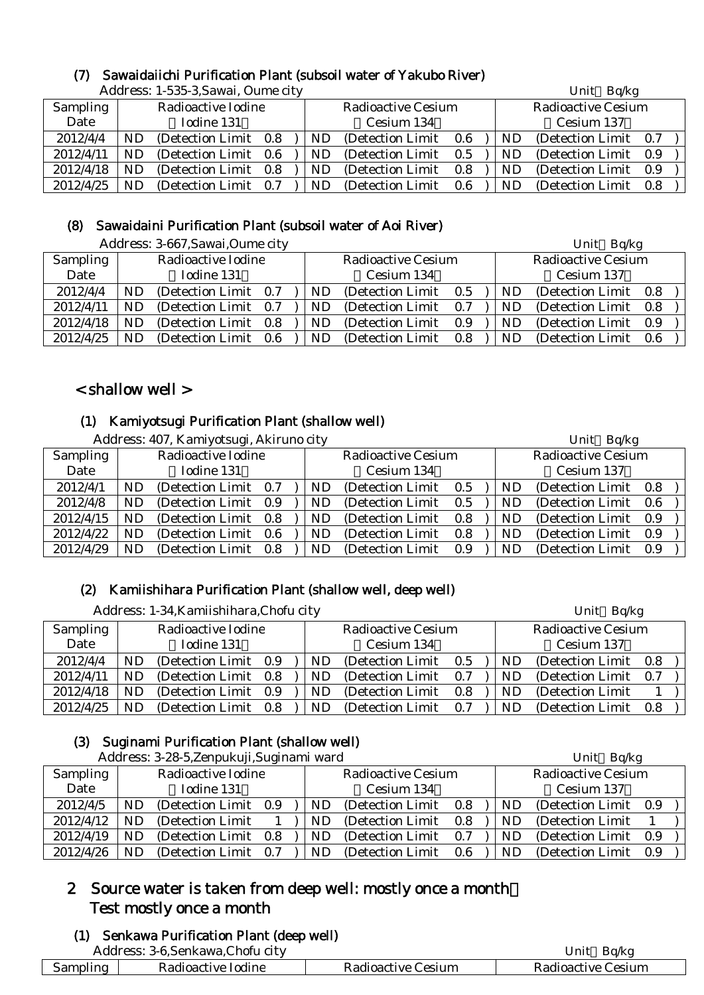# (7) Sawaidaiichi Purification Plant (subsoil water of Yakubo River)

|                 |                        | Address: 1-535-3, Sawai, Oume city |  |  |           |                           |     | Unit Bq/kg |                           |     |  |
|-----------------|------------------------|------------------------------------|--|--|-----------|---------------------------|-----|------------|---------------------------|-----|--|
| <b>Sampling</b> |                        | Radioactive Iodine                 |  |  |           | <b>Radioactive Cesium</b> |     |            | <b>Radioactive Cesium</b> |     |  |
| Date            | Iodine 131             |                                    |  |  |           | Cesium 134                |     |            | Cesium 137                |     |  |
| 2012/4/4        | ND                     | (Detection Limit 0.8)              |  |  | ND.       | (Detection Limit)         | 0.6 | <b>ND</b>  | (Detection Limit)         | 0.7 |  |
| 2012/4/11       | ND                     | (Detection Limit 0.6)              |  |  | <b>ND</b> | (Detection Limit)         | 0.5 | <b>ND</b>  | (Detection Limit)         | 0.9 |  |
| 2012/4/18       | ND                     | (Detection Limit 0.8)              |  |  | ND        | (Detection Limit)         | 0.8 | ND         | (Detection Limit)         | 0.9 |  |
| 2012/4/25       | $\mathbf{N}\mathbf{D}$ | (Detection Limit 0.7)              |  |  | <b>ND</b> | (Detection Limit)         | 0.6 | ND         | (Detection Limit)         | 0.8 |  |

# (8) Sawaidaini Purification Plant (subsoil water of Aoi River)

|                 |            | Address: 3-667, Sawai, Oume city |  |     |                           |     | Unit Bq/kg |                           |     |
|-----------------|------------|----------------------------------|--|-----|---------------------------|-----|------------|---------------------------|-----|
| <b>Sampling</b> |            | Radioactive Iodine               |  |     | <b>Radioactive Cesium</b> |     |            | <b>Radioactive Cesium</b> |     |
| Date            | Iodine 131 |                                  |  |     | Cesium 134                |     |            | Cesium 137                |     |
| 2012/4/4        | ND         | (Detection Limit 0.7)            |  | ND  | (Detection Limit)         | 0.5 | ND.        | (Detection Limit 0.8)     |     |
| 2012/4/11       | ND         | (Detection Limit 0.7)            |  | ND. | (Detection Limit)         | 0.7 | ND.        | (Detection Limit 0.8)     |     |
| 2012/4/18       | ND         | (Detection Limit 0.8)            |  | ND. | (Detection Limit)         | 0.9 | ND         | (Detection Limit 0.9)     |     |
| 2012/4/25       | <b>ND</b>  | (Detection Limit 0.6)            |  | ND. | (Detection Limit)         | 0.8 | <b>ND</b>  | (Detection Limit)         | 0.6 |

# < shallow well >

#### (1) Kamiyotsugi Purification Plant (shallow well)

|                 |     | Address: 407, Kamiyotsugi, Akiruno city |     | Unit Bq/kg |                           |     |  |    |                           |     |  |
|-----------------|-----|-----------------------------------------|-----|------------|---------------------------|-----|--|----|---------------------------|-----|--|
| <b>Sampling</b> |     | Radioactive Iodine                      |     |            | <b>Radioactive Cesium</b> |     |  |    | <b>Radioactive Cesium</b> |     |  |
| Date            |     | Iodine 131                              |     |            | Cesium 134                |     |  |    | Cesium 137                |     |  |
| 2012/4/1        | ND  | (Detection Limit 0.7)                   |     | ND.        | (Detection Limit 0.5)     |     |  | ND | (Detection Limit 0.8)     |     |  |
| 2012/4/8        | ND. | (Detection Limit 0.9)                   |     | ND.        | (Detection Limit)         | 0.5 |  | ND | (Detection Limit)         | 0.6 |  |
| 2012/4/15       | ND. | (Detection Limit 0.8)                   |     | ND.        | (Detection Limit)         | 0.8 |  | ND | (Detection Limit)         | 0.9 |  |
| 2012/4/22       | ND. | (Detection Limit 0.6)                   |     | ND.        | (Detection Limit)         | 0.8 |  | ND | (Detection Limit)         | 0.9 |  |
| 2012/4/29       | ND. | (Detection Limit)                       | 0.8 | ND.        | (Detection Limit)         | 0.9 |  | ND | (Detection Limit)         | 0.9 |  |

# (2) Kamiishihara Purification Plant (shallow well, deep well)

|                 |    | Address: 1-34, Kamiishihara, Chofu city |  | Unit Bq/kg |     |                           |     |  |    |                           |     |  |
|-----------------|----|-----------------------------------------|--|------------|-----|---------------------------|-----|--|----|---------------------------|-----|--|
| <b>Sampling</b> |    | Radioactive Iodine                      |  |            |     | <b>Radioactive Cesium</b> |     |  |    | <b>Radioactive Cesium</b> |     |  |
| Date            |    | Iodine 131                              |  |            |     | Cesium 134                |     |  |    | Cesium 137                |     |  |
| 2012/4/4        | ND | (Detection Limit 0.9)                   |  |            | ND  | (Detection Limit)         | 0.5 |  | ND | (Detection Limit 0.8)     |     |  |
| 2012/4/11       | ND | (Detection Limit 0.8)                   |  |            | ND  | (Detection Limit)         | 0.7 |  | ND | (Detection Limit)         | 0.7 |  |
| 2012/4/18       | ND | (Detection Limit 0.9)                   |  |            | ND  | (Detection Limit)         | 0.8 |  | ND | (Detection Limit)         |     |  |
| 2012/4/25       | ND | (Detection Limit 0.8)                   |  |            | ND. | (Detection Limit)         | 0.7 |  | ND | (Detection Limit)         | 0.8 |  |

# (3) Suginami Purification Plant (shallow well)

|           |     | Address: 3-28-5, Zenpukuji, Suginami ward |     |  |     |                           |         |    | Unit Bq/kg                |     |  |
|-----------|-----|-------------------------------------------|-----|--|-----|---------------------------|---------|----|---------------------------|-----|--|
| Sampling  |     | Radioactive Iodine                        |     |  |     | <b>Radioactive Cesium</b> |         |    | <b>Radioactive Cesium</b> |     |  |
| Date      |     | Iodine 131                                |     |  |     | Cesium 134                |         |    | Cesium 137                |     |  |
| 2012/4/5  | ND  | (Detection Limit 0.9)                     |     |  | ND. | (Detection Limit)         | $0.8\,$ | ND | (Detection Limit 0.9)     |     |  |
| 2012/4/12 | ND. | (Detection Limit)                         |     |  | ND. | (Detection Limit)         | 0.8     | ND | (Detection Limit)         |     |  |
| 2012/4/19 | ND  | (Detection Limit 0.8)                     |     |  | ND  | (Detection Limit)         | 0.7     | ND | (Detection Limit)         | 0.9 |  |
| 2012/4/26 | ND  | (Detection Limit)                         | 0.7 |  | ND. | (Detection Limit)         | 0.6     | ND | (Detection Limit)         | 0.9 |  |

# 2 Source water is taken from deep well: mostly once a month: Test mostly once a month

# (1) Senkawa Purification Plant (deep well)

| Address. | $5-6.5$<br>∪hofu cītv<br>Senkawa.( |               | $\overline{\phantom{a}}$<br>∪nit<br>Ba/kg |
|----------|------------------------------------|---------------|-------------------------------------------|
| Sampling | <b>Radioactive</b>                 | <b>Cesium</b> | Jesium                                    |
|          | Todine                             | Kadioactive   | Kadioactive (                             |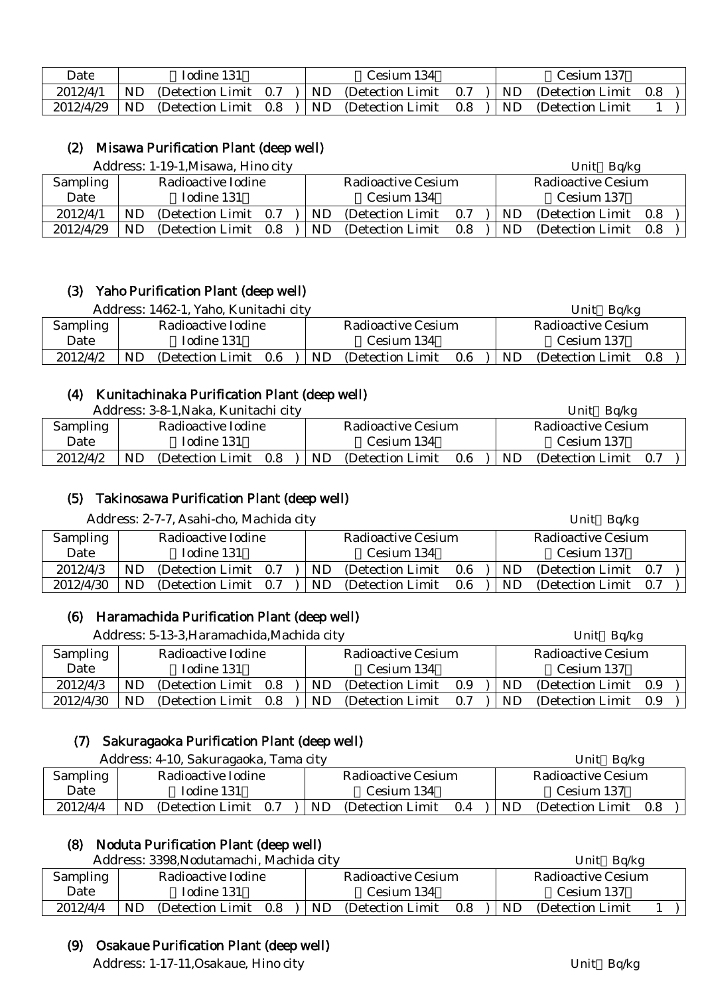| Date      |     | Iodine 131            |  |     | Cesium 134            |     | Cesium 137        |     |
|-----------|-----|-----------------------|--|-----|-----------------------|-----|-------------------|-----|
| 2012/4/1  | ND. | (Detection Limit 0.7) |  | ND. | (Detection Limit 0.7) | ND. | (Detection Limit) | 0.8 |
| 2012/4/29 | ND  | (Detection Limit 0.8) |  | ND. | (Detection Limit 0.8) | ND. | (Detection Limit) |     |

### (2) Misawa Purification Plant (deep well)

|                 | Address: 1-19-1, Misawa, Hino city |                       |  |  |           |                           |     |  |           | Unit $Bq/kg$              |  |
|-----------------|------------------------------------|-----------------------|--|--|-----------|---------------------------|-----|--|-----------|---------------------------|--|
| <b>Sampling</b> |                                    | Radioactive Iodine    |  |  |           | <b>Radioactive Cesium</b> |     |  |           | <b>Radioactive Cesium</b> |  |
| Date            |                                    | Iodine 131            |  |  |           | Cesium 134                |     |  |           | Cesium 137                |  |
| 2012/4/1        | ND                                 | (Detection Limit 0.7) |  |  | ND        | (Detection Limit)         | 0.7 |  | ND.       | (Detection Limit 0.8)     |  |
| 2012/4/29       | <b>ND</b>                          | (Detection Limit 0.8) |  |  | <b>ND</b> | (Detection Limit)         | 0.8 |  | <b>ND</b> | (Detection Limit 0.8)     |  |

# (3) Yaho Purification Plant (deep well)

| Address: 1462-1, Yaho, Kunitachi city |    |                    |     |  |    |                    |     |           | Ba/kg<br>Unit      |     |
|---------------------------------------|----|--------------------|-----|--|----|--------------------|-----|-----------|--------------------|-----|
| Sampling                              |    | Radioactive Iodine |     |  |    | Radioactive Cesium |     |           | Radioactive Cesium |     |
| Date                                  |    | Iodine 131         |     |  |    | Cesium 134         |     |           | Cesium 137         |     |
| 2012/4/2                              | ND | (Detection Limit)  | 0.6 |  | ND | (Detection Limit)  | 0.6 | <b>ND</b> | (Detection Limit)  | 0.8 |

#### (4) Kunitachinaka Purification Plant (deep well)

| Address: 3-8-1, Naka, Kunitachi city |    |                    |     |  |    |                           |     |           | Unit<br>Ba/kg      |     |  |
|--------------------------------------|----|--------------------|-----|--|----|---------------------------|-----|-----------|--------------------|-----|--|
| <b>Sampling</b>                      |    | Radioactive Iodine |     |  |    | <b>Radioactive Cesium</b> |     |           | Radioactive Cesium |     |  |
| Date                                 |    | Iodine 131         |     |  |    | Cesium 134                |     |           | Cesium 137         |     |  |
| 2012/4/2                             | ND | (Detection Limit)  | 0.8 |  | ND | (Detection Limit)         | 0.6 | <b>ND</b> | (Detection Limit)  | 0.7 |  |

# (5) Takinosawa Purification Plant (deep well)

| Sampling<br>Radioactive Iodine<br><b>Radioactive Cesium</b><br>Radioactive Cesium                            |  |
|--------------------------------------------------------------------------------------------------------------|--|
| Date<br>Iodine 131<br>Cesium 134<br>Cesium 137                                                               |  |
| 2012/4/3<br>(Detection Limit 0.7)<br>(Detection Limit)<br>(Detection Limit 0.7)<br>ND.<br>0.6<br>ND<br>ND.   |  |
| 2012/4/30<br>ND.<br>(Detection Limit 0.7)<br>(Detection Limit)<br>ND.<br>ND.<br>0.6<br>(Detection Limit 0.7) |  |

# (6) Haramachida Purification Plant (deep well)

|                 |    | Address: 5-13-3, Haramachida, Machida city |     | Unit $Bq/kg$ |                           |     |           |                           |  |  |
|-----------------|----|--------------------------------------------|-----|--------------|---------------------------|-----|-----------|---------------------------|--|--|
| <b>Sampling</b> |    | Radioactive Iodine                         |     |              | <b>Radioactive Cesium</b> |     |           | <b>Radioactive Cesium</b> |  |  |
| Date            |    | Iodine 131                                 |     |              | Cesium 134                |     |           | Cesium 137                |  |  |
| 2012/4/3        | ND | (Detection Limit)                          | 0.8 | ND           | (Detection Limit)         | 0.9 | ND.       | (Detection Limit 0.9)     |  |  |
| 2012/4/30       | ND | (Detection Limit)                          | 0.8 | ND.          | (Detection Limit)         | 0.7 | <b>ND</b> | (Detection Limit 0.9)     |  |  |

# (7) Sakuragaoka Purification Plant (deep well)

and Contract Contract Contract Contract Contract Contract Contract Contract Contract Contract Contract Contract Contract Contract Contract Contract Contract Contract Contract Contract Contract Contract Contract Contract Co

|          | Autress. 4-T0, Sakuragabka, Tanja City |     | <b>UIII</b> U<br>DU/NY |  |    |                    |     |  |
|----------|----------------------------------------|-----|------------------------|--|----|--------------------|-----|--|
| Sampling | Radioactive Iodine                     |     | Radioactive Cesium     |  |    | Radioactive Cesium |     |  |
| Date     | Iodine 131                             |     | Cesium 134             |  |    | Cesium 137         |     |  |
| 2012/4/4 | ND<br>(Detection Limit)<br>- 0.7       | ND. | (Detection Limit 0.4)  |  | ND | (Detection Limit)  | 0.8 |  |

# (8) Noduta Purification Plant (deep well)

|          | Address: 3398, Nodutamachi, Machida city | Unit $Bq/kg$                    |                                |
|----------|------------------------------------------|---------------------------------|--------------------------------|
| Sampling | Radioactive Iodine                       | Radioactive Cesium              | Radioactive Cesium             |
| Date     | Iodine 131                               | Cesium 134                      | Cesium 137                     |
| 2012/4/4 | ND<br>(Detection Limit)<br>0.8           | ND.<br>0.8<br>(Detection Limit) | <b>ND</b><br>(Detection Limit) |

#### (9) Osakaue Purification Plant (deep well)

Address: 1-17-11, Osakaue, Hino city Unit Bq/kg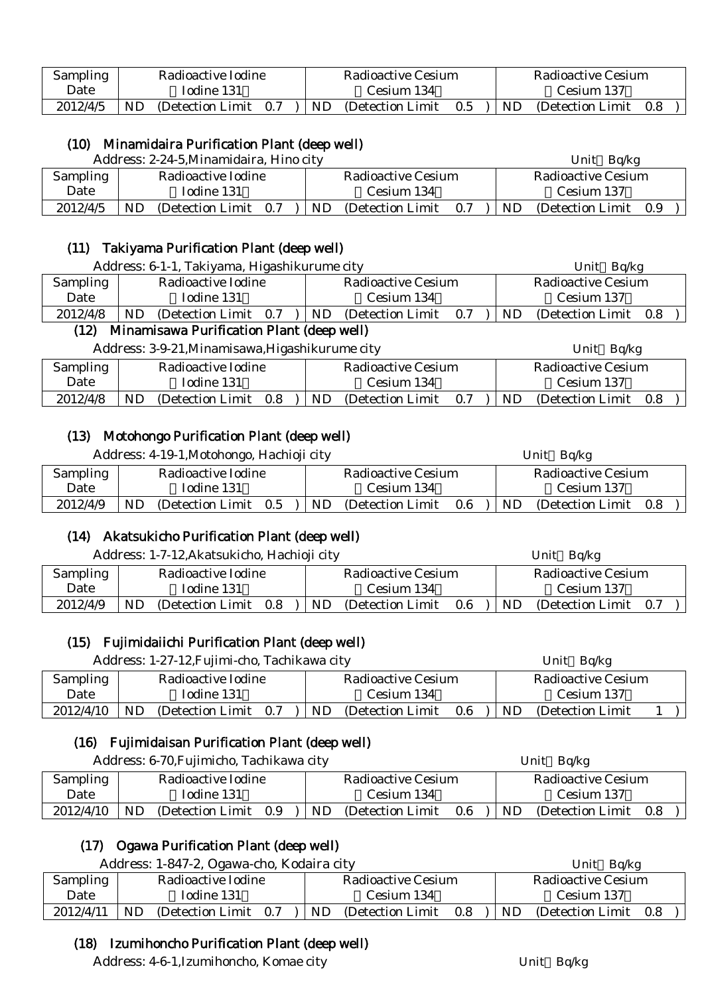| Sampling |    | Radioactive Iodine |     |    | Radioactive Cesium |     |     | Radioactive Cesium |  |
|----------|----|--------------------|-----|----|--------------------|-----|-----|--------------------|--|
| Date     |    | Iodine 131         |     |    | - Cesium 134       |     |     | - Cesium 137       |  |
| 2012/4/5 | ND | (Detection Limit)  | 0.7 | ND | (Detection Limit)  | 0.5 | ND. | (Detection Limit)  |  |

# (10) Minamidaira Purification Plant (deep well)

Address: 2-24-5 Minamidaira, Hino city Unit Balkg

|                 |                    | $A$ uul $\epsilon$ ss. $\epsilon$ - $\epsilon$ +- $\epsilon$ , willialihuali a, Tillio City |     | UIIIU<br>DU/Ng     |                   |     |                    |                   |     |  |
|-----------------|--------------------|---------------------------------------------------------------------------------------------|-----|--------------------|-------------------|-----|--------------------|-------------------|-----|--|
| <b>Sampling</b> | Radioactive Iodine |                                                                                             |     | Radioactive Cesium |                   |     | Radioactive Cesium |                   |     |  |
| Date            |                    | Iodine 131                                                                                  |     |                    | Cesium 134        |     |                    | Cesium 137        |     |  |
| 2012/4/5        | ND                 | (Detection Limit)                                                                           | 0.7 | ND.                | (Detection Limit) | 0.7 | ND                 | (Detection Limit) | 0.9 |  |

# (11) Takiyama Purification Plant (deep well)

|                                                   | Address: 6-1-1, Takiyama, Higashikurume city    | Unit $Bq/kg$                |                           |  |  |  |  |  |
|---------------------------------------------------|-------------------------------------------------|-----------------------------|---------------------------|--|--|--|--|--|
| <b>Sampling</b>                                   | Radioactive Iodine                              | <b>Radioactive Cesium</b>   | <b>Radioactive Cesium</b> |  |  |  |  |  |
| Date                                              | Iodine 131                                      | Cesium 134                  | Cesium 137                |  |  |  |  |  |
| 2012/4/8                                          | ND<br>(Detection Limit 0.7)                     | (Detection Limit 0.8)<br>ND |                           |  |  |  |  |  |
| Minamisawa Purification Plant (deep well)<br>(12) |                                                 |                             |                           |  |  |  |  |  |
|                                                   | Address: 3-9-21, Minamisawa, Higashikurume city | Unit Bq/kg                  |                           |  |  |  |  |  |

| Sampling |    | Radioactive Iodine    |     | Radioactive Cesium |     |     | Radioactive Cesium |     |
|----------|----|-----------------------|-----|--------------------|-----|-----|--------------------|-----|
| Date     |    | Iodine 131            |     | Cesium 134         |     |     | Cesium 137         |     |
| 2012/4/8 | ND | (Detection Limit 0.8) | ND. | (Detection Limit)  | 0.7 | ND. | (Detection Limit)  | 0.8 |

# (13) Motohongo Purification Plant (deep well)

| Address: 4-19-1, Motohongo, Hachioji city |    |                       |  |  |     |                           |     | Unit $Bq/kg$ |                           |     |  |
|-------------------------------------------|----|-----------------------|--|--|-----|---------------------------|-----|--------------|---------------------------|-----|--|
| Sampling                                  |    | Radioactive Iodine    |  |  |     | <b>Radioactive Cesium</b> |     |              | <b>Radioactive Cesium</b> |     |  |
| Date                                      |    | Iodine 131            |  |  |     | Cesium 134                |     |              | Cesium 137                |     |  |
| 2012/4/9                                  | ND | (Detection Limit 0.5) |  |  | ND. | (Detection Limit)         | 0.6 | ND.          | (Detection Limit)         | 0.8 |  |

# (14) Akatsukicho Purification Plant (deep well)

|                 | Address: 1-7-12, Akatsukicho, Hachioji city |                                 | Bq/kg<br>Unit                |  |  |  |
|-----------------|---------------------------------------------|---------------------------------|------------------------------|--|--|--|
| <b>Sampling</b> | Radioactive Iodine                          | Radioactive Cesium              | <b>Radioactive Cesium</b>    |  |  |  |
| Date            | Iodine 131                                  | Cesium 134                      | Cesium 137                   |  |  |  |
| 2012/4/9        | ND<br>(Detection Limit)<br>0.8              | ND.<br>(Detection Limit)<br>0.6 | (Detection Limit 0.7)<br>ND. |  |  |  |

# (15) Fujimidaiichi Purification Plant (deep well)

| Address: 1-27-12, Fujimi-cho, Tachikawa city |     |                    |     | Unit $Bq/kg$ |                           |     |     |                           |  |
|----------------------------------------------|-----|--------------------|-----|--------------|---------------------------|-----|-----|---------------------------|--|
| Sampling                                     |     | Radioactive Iodine |     |              | <b>Radioactive Cesium</b> |     |     | <b>Radioactive Cesium</b> |  |
| Date                                         |     | Iodine 131         |     |              | Cesium 134                |     |     | Cesium 137                |  |
| 2012/4/10                                    | ND. | (Detection Limit)  | 0.7 | ND.          | (Detection Limit)         | 0.6 | ND. | (Detection Limit)         |  |

# (16) Fujimidaisan Purification Plant (deep well)

Address: 6-70. Fujimicho, Tachikawa city Unit Bq/kg

| <b>Sampling</b> |           | Radioactive Iodine |     |    | Radioactive Cesium |         |           | Radioactive Cesium |     |  |
|-----------------|-----------|--------------------|-----|----|--------------------|---------|-----------|--------------------|-----|--|
| Date            |           | Iodine 131         |     |    | Cesium 134         |         |           | Cesium 137         |     |  |
| 2012/4/10       | <b>ND</b> | (Detection Limit)  | 0.9 | ND | (Detection Limit)  | $0.6\,$ | <b>ND</b> | (Detection Limit)  | 0.8 |  |

# (17) Ogawa Purification Plant (deep well)

| Address: 1-847-2, Ogawa-cho, Kodaira city |     |                    |     |  |    |                    |     | Bg/kg<br>Unit |                           |     |  |
|-------------------------------------------|-----|--------------------|-----|--|----|--------------------|-----|---------------|---------------------------|-----|--|
| <b>Sampling</b>                           |     | Radioactive Iodine |     |  |    | Radioactive Cesium |     |               | <b>Radioactive Cesium</b> |     |  |
| Date                                      |     | Iodine 131         |     |  |    | Cesium 134         |     |               | Cesium 137                |     |  |
| 2012/4/11                                 | ND. | (Detection Limit)  | 0.7 |  | ND | (Detection Limit)  | 0.8 | ND.           | (Detection Limit)         | 0.8 |  |

# (18) Izumihoncho Purification Plant (deep well)

Address: 4-6-1,Izumihoncho, Komae city Unit Bq/kg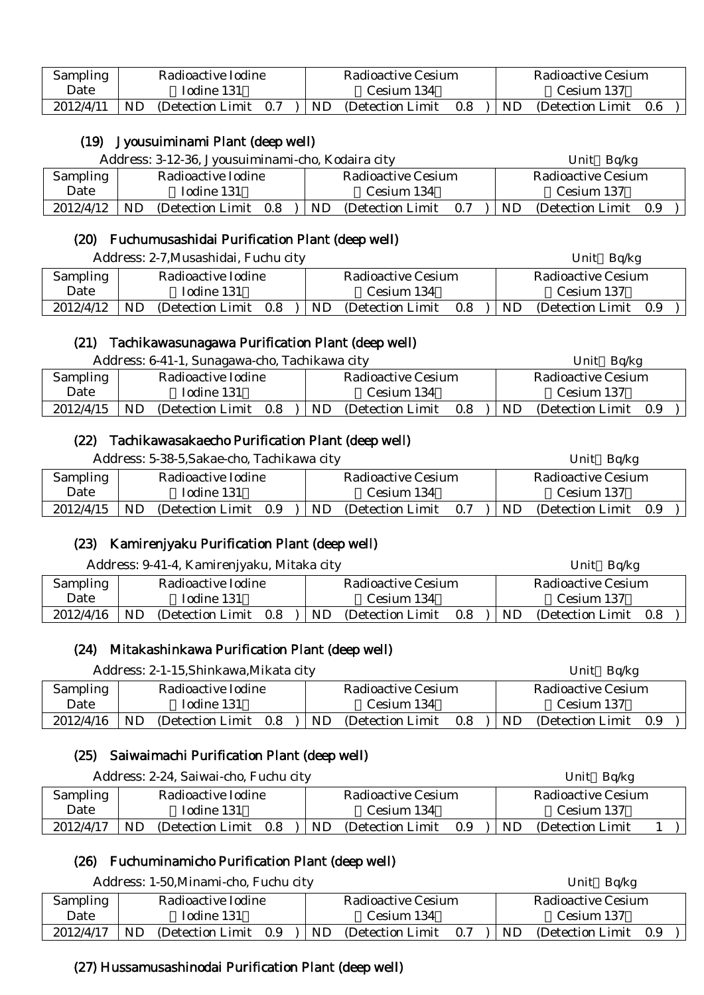| Sampling  |           | Radioactive Iodine    |  |    | Radioactive Cesium |     |     | Radioactive Cesium |     |  |
|-----------|-----------|-----------------------|--|----|--------------------|-----|-----|--------------------|-----|--|
| Date      |           | Iodine 131            |  |    | Cesium 134         |     |     | Cesium 137         |     |  |
| 2012/4/11 | <b>ND</b> | (Detection Limit 0.7) |  | ND | (Detection Limit)  | 0.8 | ND. | (Detection Limit)  | 0.6 |  |

# (19) Jyousuiminami Plant (deep well)

|           | Address: 3-12-36, Jyousuiminami-cho, Kodaira city |                                 | Bq/kg<br>Unit               |  |  |  |
|-----------|---------------------------------------------------|---------------------------------|-----------------------------|--|--|--|
| Sampling  | Radioactive Iodine                                | Radioactive Cesium              | Radioactive Cesium          |  |  |  |
| Date      | Iodine 131                                        | Cesium 134                      | Cesium 137                  |  |  |  |
| 2012/4/12 | ND<br>(Detection Limit)<br>0.8                    | ND.<br>(Detection Limit)<br>0.7 | ND<br>(Detection Limit 0.9) |  |  |  |

# (20) Fuchumusashidai Purification Plant (deep well)

|           | Address: 2-7, Musashidai, Fuchu city |                                 | Unit Bq/kg                   |
|-----------|--------------------------------------|---------------------------------|------------------------------|
| Sampling  | Radioactive Iodine                   | Radioactive Cesium              | Radioactive Cesium           |
| Date      | Iodine 131                           | Cesium 134                      | Cesium 137                   |
| 2012/4/12 | ND<br>(Detection Limit)<br>0.8       | ND.<br>(Detection Limit)<br>0.8 | (Detection Limit 0.9)<br>ND. |

#### (21) Tachikawasunagawa Purification Plant (deep well)

| Sampling<br>Radioactive Iodine<br>Radioactive Cesium<br>Radioactive Cesium                                               |  |
|--------------------------------------------------------------------------------------------------------------------------|--|
|                                                                                                                          |  |
| Date<br>Iodine 131<br>Cesium 137<br>Cesium 134                                                                           |  |
| 2012/4/15<br>ND<br>(Detection Limit)<br><b>ND</b><br>(Detection Limit 0.9)<br>ND.<br>0.8<br>$0.8\,$<br>(Detection Limit) |  |

#### (22) Tachikawasakaecho Purification Plant (deep well)

| Address: 5-38-5, Sakae-cho, Tachikawa city |           |                    |     |  |    |                           |     | Unit $Bq/kg$ |                       |  |  |
|--------------------------------------------|-----------|--------------------|-----|--|----|---------------------------|-----|--------------|-----------------------|--|--|
| Sampling                                   |           | Radioactive Iodine |     |  |    | <b>Radioactive Cesium</b> |     |              | Radioactive Cesium    |  |  |
| Date                                       |           | Iodine 131         |     |  |    | Cesium 134                |     |              | Cesium 137            |  |  |
| 2012/4/15                                  | <b>ND</b> | (Detection Limit)  | 0.9 |  | ND | (Detection Limit)         | 0.7 | ND.          | (Detection Limit 0.9) |  |  |

# (23) Kamirenjyaku Purification Plant (deep well)

|           | Address: 9-41-4, Kamirenjyaku, Mitaka city |                                 | Unit $Bq/kg$                 |
|-----------|--------------------------------------------|---------------------------------|------------------------------|
| Sampling  | Radioactive Iodine                         | <b>Radioactive Cesium</b>       | <b>Radioactive Cesium</b>    |
| Date      | Iodine 131                                 | Cesium 134                      | Cesium 137                   |
| 2012/4/16 | <b>ND</b><br>(Detection Limit)<br>0.8      | ND.<br>0.8<br>(Detection Limit) | (Detection Limit 0.8)<br>ND. |

# (24) Mitakashinkawa Purification Plant (deep well)

| Address: 2-1-15, Shinkawa, Mikata city |    |                       |  |  |     |                    |     |           | Unit Bq/kg            |  |
|----------------------------------------|----|-----------------------|--|--|-----|--------------------|-----|-----------|-----------------------|--|
| Sampling                               |    | Radioactive Iodine    |  |  |     | Radioactive Cesium |     |           | Radioactive Cesium    |  |
| Date                                   |    | Iodine 131            |  |  |     | Cesium 134         |     |           | Cesium 137            |  |
| 2012/4/16                              | ND | (Detection Limit 0.8) |  |  | ND. | (Detection Limit)  | 0.8 | <b>ND</b> | (Detection Limit 0.9) |  |

# (25) Saiwaimachi Purification Plant (deep well)

| Address: 2-24, Saiwai-cho, Fuchu city |     |                    |     |  |     |                           |     |     | Unit Bq/kg                |  |  |
|---------------------------------------|-----|--------------------|-----|--|-----|---------------------------|-----|-----|---------------------------|--|--|
| Sampling                              |     | Radioactive Iodine |     |  |     | <b>Radioactive Cesium</b> |     |     | <b>Radioactive Cesium</b> |  |  |
| Date                                  |     | Iodine 131         |     |  |     | Cesium 134                |     |     | Cesium 137                |  |  |
| 2012/4/17                             | ND. | (Detection Limit)  | 0.8 |  | ND. | (Detection Limit)         | 0.9 | ND. | (Detection Limit)         |  |  |

# (26) Fuchuminamicho Purification Plant (deep well)

|                 | Address: 1-50, Minami-cho, Fuchu city |                    |     |  |           |                    |     |     | Bq/kg<br>Unit      |     |
|-----------------|---------------------------------------|--------------------|-----|--|-----------|--------------------|-----|-----|--------------------|-----|
| <b>Sampling</b> |                                       | Radioactive Iodine |     |  |           | Radioactive Cesium |     |     | Radioactive Cesium |     |
| Date            |                                       | Iodine 131         |     |  |           | Cesium 134         |     |     | Cesium 137         |     |
| 2012/4/17       | ND.                                   | (Detection Limit)  | 0.9 |  | <b>ND</b> | (Detection Limit)  | 0.7 | ND. | (Detection Limit)  | 0.9 |

# (27) Hussamusashinodai Purification Plant (deep well)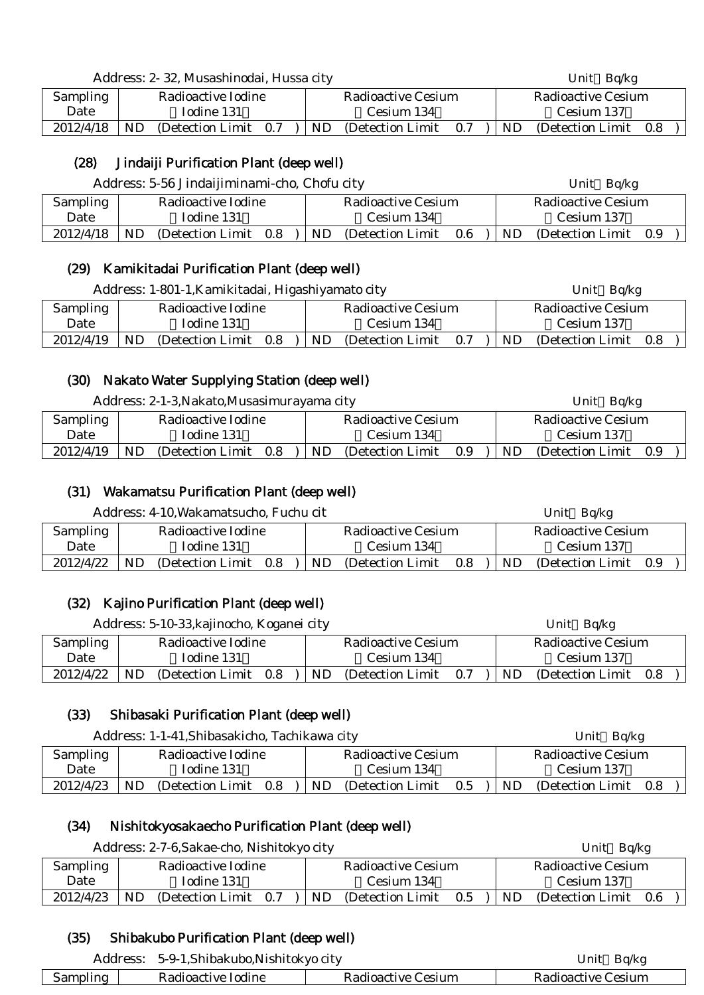|  |  |  |  | Address: 2- 32, Musashinodai, Hussa city |  |
|--|--|--|--|------------------------------------------|--|
|--|--|--|--|------------------------------------------|--|

| <b>Sampling</b> |    | Radioactive Iodine    |    | Radioactive Cesium |     |    | Radioactive Cesium |     |  |
|-----------------|----|-----------------------|----|--------------------|-----|----|--------------------|-----|--|
| Date            |    | Todine 131            |    | Cesium 134         |     |    | Cesium 137         |     |  |
| 2012/4/18       | ND | (Detection Limit 0.7) | ND | (Detection Limit)  | 0.7 | ND | (Detection Limit)  | 0.8 |  |

Unit Bq/kg

# (28) Jindaiji Purification Plant (deep well)

|                 | Address: 5-56 Jindaijiminami-cho, Chofu city | Unit $Bq/kg$                    |                              |  |  |  |
|-----------------|----------------------------------------------|---------------------------------|------------------------------|--|--|--|
| <b>Sampling</b> | Radioactive Iodine                           | <b>Radioactive Cesium</b>       | <b>Radioactive Cesium</b>    |  |  |  |
| Date            | Iodine 131                                   | Cesium 134                      | Cesium 137                   |  |  |  |
| 2012/4/18       | <b>ND</b><br>(Detection Limit 0.8)           | ND.<br>(Detection Limit)<br>0.6 | ND.<br>(Detection Limit 0.9) |  |  |  |

# (29) Kamikitadai Purification Plant (deep well)

|           |     | Address: 1-801-1, Kamikitadai, Higashiyamato city |     |     |                    |     |     | Unit $Bq/kg$              |  |
|-----------|-----|---------------------------------------------------|-----|-----|--------------------|-----|-----|---------------------------|--|
| Sampling  |     | Radioactive Iodine                                |     |     | Radioactive Cesium |     |     | <b>Radioactive Cesium</b> |  |
| Date      |     | Iodine 131                                        |     |     | Cesium 134         |     |     | Cesium 137                |  |
| 2012/4/19 | ND. | (Detection Limit)                                 | 0.8 | ND. | (Detection Limit)  | 0.7 | ND. | (Detection Limit 0.8)     |  |

# (30) Nakato Water Supplying Station (deep well)

|           | Address: 2-1-3, Nakato, Musasimurayama city |                                 | Unit Bq/kg                      |
|-----------|---------------------------------------------|---------------------------------|---------------------------------|
| Sampling  | Radioactive Iodine                          | Radioactive Cesium              | Radioactive Cesium              |
| Date      | Todine 131                                  | Cesium 134                      | Cesium 137                      |
| 2012/4/19 | ND<br>(Detection Limit)<br>0.8              | ND.<br>0.9<br>(Detection Limit) | ND.<br>(Detection Limit)<br>0.9 |

# (31) Wakamatsu Purification Plant (deep well)

Address: 4-10. Wakamatsucho, Fuchu cit Unit Bq/kg

|           |     |                       |    |                    |     |     | $\sim$ $\sim$ $\sim$ |     |  |
|-----------|-----|-----------------------|----|--------------------|-----|-----|----------------------|-----|--|
| Sampling  |     | Radioactive Iodine    |    | Radioactive Cesium |     |     | Radioactive Cesium   |     |  |
| Date      |     | Iodine 131            |    | Cesium 134         |     |     | Cesium 137           |     |  |
| 2012/4/22 | ND. | (Detection Limit 0.8) | ND | (Detection Limit)  | 0.8 | ND. | (Detection Limit)    | 0.9 |  |

# (32) Kajino Purification Plant (deep well)

|           | Address: 5-10-33, kajinocho, Koganei city |                    |     |  |     |                           |     | Unit $Bq/kg$ |                           |  |  |  |
|-----------|-------------------------------------------|--------------------|-----|--|-----|---------------------------|-----|--------------|---------------------------|--|--|--|
| Sampling  |                                           | Radioactive Iodine |     |  |     | <b>Radioactive Cesium</b> |     |              | <b>Radioactive Cesium</b> |  |  |  |
| Date      |                                           | Iodine 131         |     |  |     | Cesium 134                |     |              | Cesium 137                |  |  |  |
| 2012/4/22 | ND                                        | (Detection Limit)  | 0.8 |  | ND. | (Detection Limit)         | 0.7 | ND           | (Detection Limit 0.8)     |  |  |  |

# (33) Shibasaki Purification Plant (deep well)

|                                | Address: 1-1-41, Shibasakicho, Tachikawa city |                   |         |  |                    |                   |     |                    | Unit Bq/kg        |     |  |
|--------------------------------|-----------------------------------------------|-------------------|---------|--|--------------------|-------------------|-----|--------------------|-------------------|-----|--|
| Sampling<br>Radioactive Iodine |                                               |                   |         |  | Radioactive Cesium |                   |     | Radioactive Cesium |                   |     |  |
| Date                           |                                               | Iodine 131        |         |  |                    | Cesium 134        |     |                    | Cesium 137        |     |  |
| 2012/4/23                      | ND                                            | (Detection Limit) | $0.8\,$ |  | ND                 | (Detection Limit) | 0.5 | ND.                | (Detection Limit) | 0.8 |  |

# (34) Nishitokyosakaecho Purification Plant (deep well)

| Address: 2-7-6, Sakae-cho, Nishitokyo city |                    |                   |     |     |                    |     | Unit $Bq/kg$       |                       |  |  |
|--------------------------------------------|--------------------|-------------------|-----|-----|--------------------|-----|--------------------|-----------------------|--|--|
| Sampling                                   | Radioactive Iodine |                   |     |     | Radioactive Cesium |     | Radioactive Cesium |                       |  |  |
| Date                                       |                    | Iodine 131        |     |     | Cesium 134         |     |                    | Cesium 137            |  |  |
| 2012/4/23                                  | ND                 | (Detection Limit) | 0.7 | ND. | (Detection Limit)  | 0.5 | <b>ND</b>          | (Detection Limit 0.6) |  |  |

# (35) Shibakubo Purification Plant (deep well)

| Address: | 5-9-1, Shibakubo, Nishitokyo city | Bq/kg<br>Unit      |                    |  |  |
|----------|-----------------------------------|--------------------|--------------------|--|--|
| Sampling | Radioactive Iodine                | Radioactive Cesium | Radioactive Cesium |  |  |